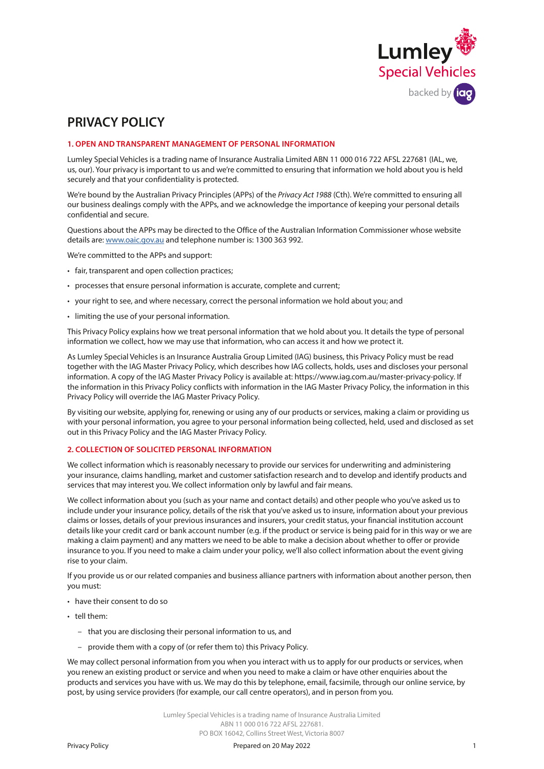

# **PRIVACY POLICY**

## **1. OPEN AND TRANSPARENT MANAGEMENT OF PERSONAL INFORMATION**

Lumley Special Vehicles is a trading name of Insurance Australia Limited ABN 11 000 016 722 AFSL 227681 (IAL, we, us, our). Your privacy is important to us and we're committed to ensuring that information we hold about you is held securely and that your confidentiality is protected.

We're bound by the Australian Privacy Principles (APPs) of the *Privacy Act 1988* (Cth). We're committed to ensuring all our business dealings comply with the APPs, and we acknowledge the importance of keeping your personal details confidential and secure.

Questions about the APPs may be directed to the Office of the Australian Information Commissioner whose website details are: [www.oaic.gov.au](http://www.oaic.gov.au) and telephone number is: 1300 363 992.

We're committed to the APPs and support:

- fair, transparent and open collection practices;
- processes that ensure personal information is accurate, complete and current;
- your right to see, and where necessary, correct the personal information we hold about you; and
- limiting the use of your personal information.

This Privacy Policy explains how we treat personal information that we hold about you. It details the type of personal information we collect, how we may use that information, who can access it and how we protect it.

As Lumley Special Vehicles is an Insurance Australia Group Limited (IAG) business, this Privacy Policy must be read together with the IAG Master Privacy Policy, which describes how IAG collects, holds, uses and discloses your personal information. A copy of the IAG Master Privacy Policy is available at:<https://www.iag.com.au/master-privacy-policy>. If the information in this Privacy Policy conflicts with information in the IAG Master Privacy Policy, the information in this Privacy Policy will override the IAG Master Privacy Policy.

By visiting our website, applying for, renewing or using any of our products or services, making a claim or providing us with your personal information, you agree to your personal information being collected, held, used and disclosed as set out in this Privacy Policy and the IAG Master Privacy Policy.

### **2. COLLECTION OF SOLICITED PERSONAL INFORMATION**

We collect information which is reasonably necessary to provide our services for underwriting and administering your insurance, claims handling, market and customer satisfaction research and to develop and identify products and services that may interest you. We collect information only by lawful and fair means.

We collect information about you (such as your name and contact details) and other people who you've asked us to include under your insurance policy, details of the risk that you've asked us to insure, information about your previous claims or losses, details of your previous insurances and insurers, your credit status, your financial institution account details like your credit card or bank account number (e.g. if the product or service is being paid for in this way or we are making a claim payment) and any matters we need to be able to make a decision about whether to offer or provide insurance to you. If you need to make a claim under your policy, we'll also collect information about the event giving rise to your claim.

If you provide us or our related companies and business alliance partners with information about another person, then you must:

- have their consent to do so
- tell them:
	- that you are disclosing their personal information to us, and
	- provide them with a copy of (or refer them to) this Privacy Policy.

We may collect personal information from you when you interact with us to apply for our products or services, when you renew an existing product or service and when you need to make a claim or have other enquiries about the products and services you have with us. We may do this by telephone, email, facsimile, through our online service, by post, by using service providers (for example, our call centre operators), and in person from you.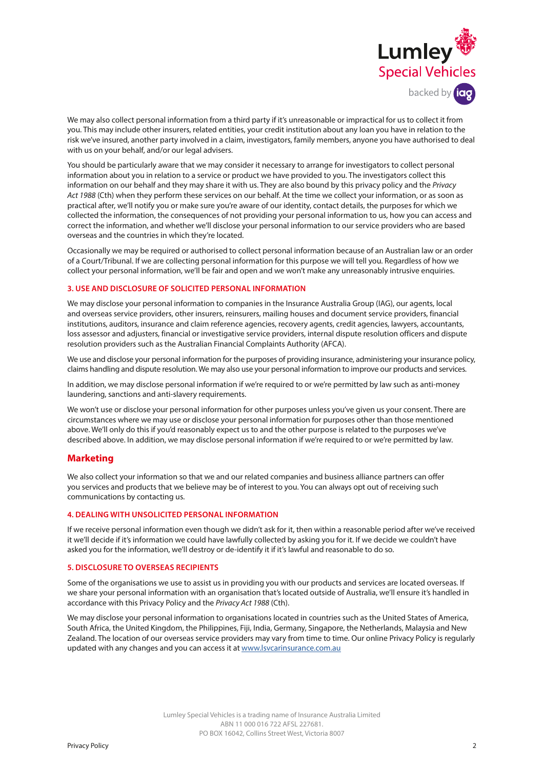

We may also collect personal information from a third party if it's unreasonable or impractical for us to collect it from you. This may include other insurers, related entities, your credit institution about any loan you have in relation to the risk we've insured, another party involved in a claim, investigators, family members, anyone you have authorised to deal with us on your behalf, and/or our legal advisers.

You should be particularly aware that we may consider it necessary to arrange for investigators to collect personal information about you in relation to a service or product we have provided to you. The investigators collect this information on our behalf and they may share it with us. They are also bound by this privacy policy and the *Privacy Act 1988* (Cth) when they perform these services on our behalf. At the time we collect your information, or as soon as practical after, we'll notify you or make sure you're aware of our identity, contact details, the purposes for which we collected the information, the consequences of not providing your personal information to us, how you can access and correct the information, and whether we'll disclose your personal information to our service providers who are based overseas and the countries in which they're located.

Occasionally we may be required or authorised to collect personal information because of an Australian law or an order of a Court/Tribunal. If we are collecting personal information for this purpose we will tell you. Regardless of how we collect your personal information, we'll be fair and open and we won't make any unreasonably intrusive enquiries.

# **3. USE AND DISCLOSURE OF SOLICITED PERSONAL INFORMATION**

We may disclose your personal information to companies in the Insurance Australia Group (IAG), our agents, local and overseas service providers, other insurers, reinsurers, mailing houses and document service providers, financial institutions, auditors, insurance and claim reference agencies, recovery agents, credit agencies, lawyers, accountants, loss assessor and adjusters, financial or investigative service providers, internal dispute resolution officers and dispute resolution providers such as the Australian Financial Complaints Authority (AFCA).

We use and disclose your personal information for the purposes of providing insurance, administering your insurance policy, claims handling and dispute resolution. We may also use your personal information to improve our products and services.

In addition, we may disclose personal information if we're required to or we're permitted by law such as anti-money laundering, sanctions and anti-slavery requirements.

We won't use or disclose your personal information for other purposes unless you've given us your consent. There are circumstances where we may use or disclose your personal information for purposes other than those mentioned above. We'll only do this if you'd reasonably expect us to and the other purpose is related to the purposes we've described above. In addition, we may disclose personal information if we're required to or we're permitted by law.

# **Marketing**

We also collect your information so that we and our related companies and business alliance partners can offer you services and products that we believe may be of interest to you. You can always opt out of receiving such communications by contacting us.

## **4. DEALING WITH UNSOLICITED PERSONAL INFORMATION**

If we receive personal information even though we didn't ask for it, then within a reasonable period after we've received it we'll decide if it's information we could have lawfully collected by asking you for it. If we decide we couldn't have asked you for the information, we'll destroy or de-identify it if it's lawful and reasonable to do so.

## **5. DISCLOSURE TO OVERSEAS RECIPIENTS**

Some of the organisations we use to assist us in providing you with our products and services are located overseas. If we share your personal information with an organisation that's located outside of Australia, we'll ensure it's handled in accordance with this Privacy Policy and the *Privacy Act 1988* (Cth).

We may disclose your personal information to organisations located in countries such as the United States of America, South Africa, the United Kingdom, the Philippines, Fiji, India, Germany, Singapore, the Netherlands, Malaysia and New Zealand. The location of our overseas service providers may vary from time to time. Our online Privacy Policy is regularly updated with any changes and you can access it at www[.lsvcarinsurance.com.au](http://www.lsvcarinsurance.com.au)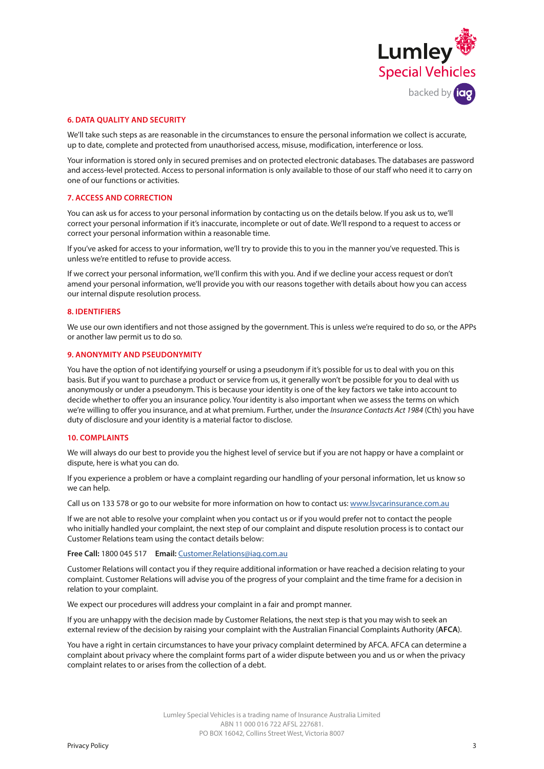

#### **6. DATA QUALITY AND SECURITY**

We'll take such steps as are reasonable in the circumstances to ensure the personal information we collect is accurate, up to date, complete and protected from unauthorised access, misuse, modification, interference or loss.

Your information is stored only in secured premises and on protected electronic databases. The databases are password and access-level protected. Access to personal information is only available to those of our staff who need it to carry on one of our functions or activities.

#### **7. ACCESS AND CORRECTION**

You can ask us for access to your personal information by contacting us on the details below. If you ask us to, we'll correct your personal information if it's inaccurate, incomplete or out of date. We'll respond to a request to access or correct your personal information within a reasonable time.

If you've asked for access to your information, we'll try to provide this to you in the manner you've requested. This is unless we're entitled to refuse to provide access.

If we correct your personal information, we'll confirm this with you. And if we decline your access request or don't amend your personal information, we'll provide you with our reasons together with details about how you can access our internal dispute resolution process.

#### **8. IDENTIFIERS**

We use our own identifiers and not those assigned by the government. This is unless we're required to do so, or the APPs or another law permit us to do so.

### **9. ANONYMITY AND PSEUDONYMITY**

You have the option of not identifying yourself or using a pseudonym if it's possible for us to deal with you on this basis. But if you want to purchase a product or service from us, it generally won't be possible for you to deal with us anonymously or under a pseudonym. This is because your identity is one of the key factors we take into account to decide whether to offer you an insurance policy. Your identity is also important when we assess the terms on which we're willing to offer you insurance, and at what premium. Further, under the *Insurance Contacts Act 1984* (Cth) you have duty of disclosure and your identity is a material factor to disclose.

#### **10. COMPLAINTS**

We will always do our best to provide you the highest level of service but if you are not happy or have a complaint or dispute, here is what you can do.

If you experience a problem or have a complaint regarding our handling of your personal information, let us know so we can help.

Call us on 133 578 or go to our website for more information on how to contact us: www.[lsvcarinsurance.com.au](http://www.lsvcarinsurance.com.au)

If we are not able to resolve your complaint when you contact us or if you would prefer not to contact the people who initially handled your complaint, the next step of our complaint and dispute resolution process is to contact our Customer Relations team using the contact details below:

**Free Call:** 1800 045 517 **Email:** [Customer.Relations@iag.com.au](mailto:Customer.Relations%40iag.com.au?subject=)

Customer Relations will contact you if they require additional information or have reached a decision relating to your complaint. Customer Relations will advise you of the progress of your complaint and the time frame for a decision in relation to your complaint.

We expect our procedures will address your complaint in a fair and prompt manner.

If you are unhappy with the decision made by Customer Relations, the next step is that you may wish to seek an external review of the decision by raising your complaint with the Australian Financial Complaints Authority (**AFCA**).

You have a right in certain circumstances to have your privacy complaint determined by AFCA. AFCA can determine a complaint about privacy where the complaint forms part of a wider dispute between you and us or when the privacy complaint relates to or arises from the collection of a debt.